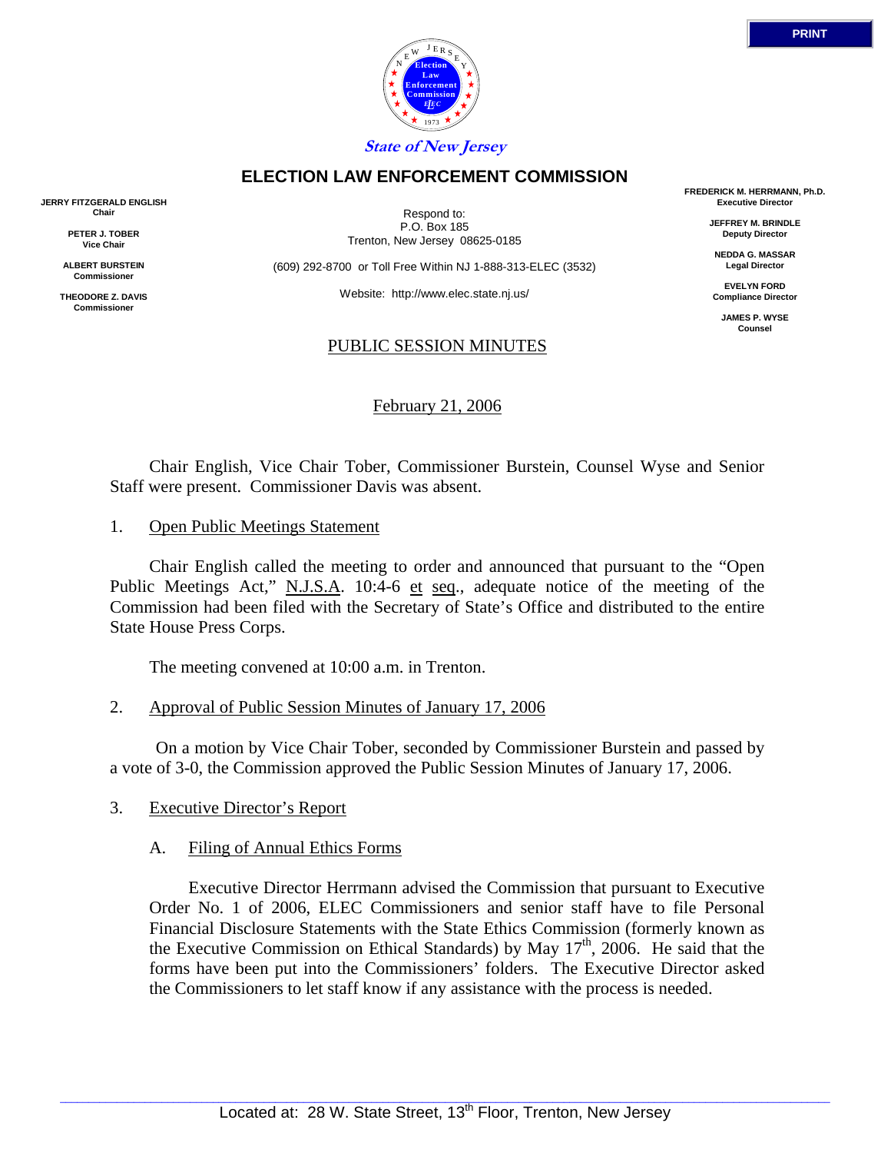



**ELECTION LAW ENFORCEMENT COMMISSION**

Respond to: P.O. Box 185 Trenton, New Jersey 08625-0185

(609) 292-8700 or Toll Free Within NJ 1-888-313-ELEC (3532)

Website: http://www.elec.state.nj.us/

#### PUBLIC SESSION MINUTES

February 21, 2006

 Chair English, Vice Chair Tober, Commissioner Burstein, Counsel Wyse and Senior Staff were present. Commissioner Davis was absent.

1. Open Public Meetings Statement

 Chair English called the meeting to order and announced that pursuant to the "Open Public Meetings Act," N.J.S.A. 10:4-6 et seq., adequate notice of the meeting of the Commission had been filed with the Secretary of State's Office and distributed to the entire State House Press Corps.

The meeting convened at 10:00 a.m. in Trenton.

2. Approval of Public Session Minutes of January 17, 2006

 On a motion by Vice Chair Tober, seconded by Commissioner Burstein and passed by a vote of 3-0, the Commission approved the Public Session Minutes of January 17, 2006.

## 3. Executive Director's Report

## A. Filing of Annual Ethics Forms

 Executive Director Herrmann advised the Commission that pursuant to Executive Order No. 1 of 2006, ELEC Commissioners and senior staff have to file Personal Financial Disclosure Statements with the State Ethics Commission (formerly known as the Executive Commission on Ethical Standards) by May  $17<sup>th</sup>$ , 2006. He said that the forms have been put into the Commissioners' folders. The Executive Director asked the Commissioners to let staff know if any assistance with the process is needed.

**FREDERICK M. HERRMANN, Ph.D. Executive Director**

> **JEFFREY M. BRINDLE Deputy Director**

**NEDDA G. MASSAR Legal Director**

**EVELYN FORD Compliance Director**

**JAMES P. WYSE Counsel**



**JERRY FITZGERALD ENGLISH Chair**

> **PETER J. TOBER Vice Chair**

**ALBERT BURSTEIN Commissioner** 

**THEODORE Z. DAVIS Commissione**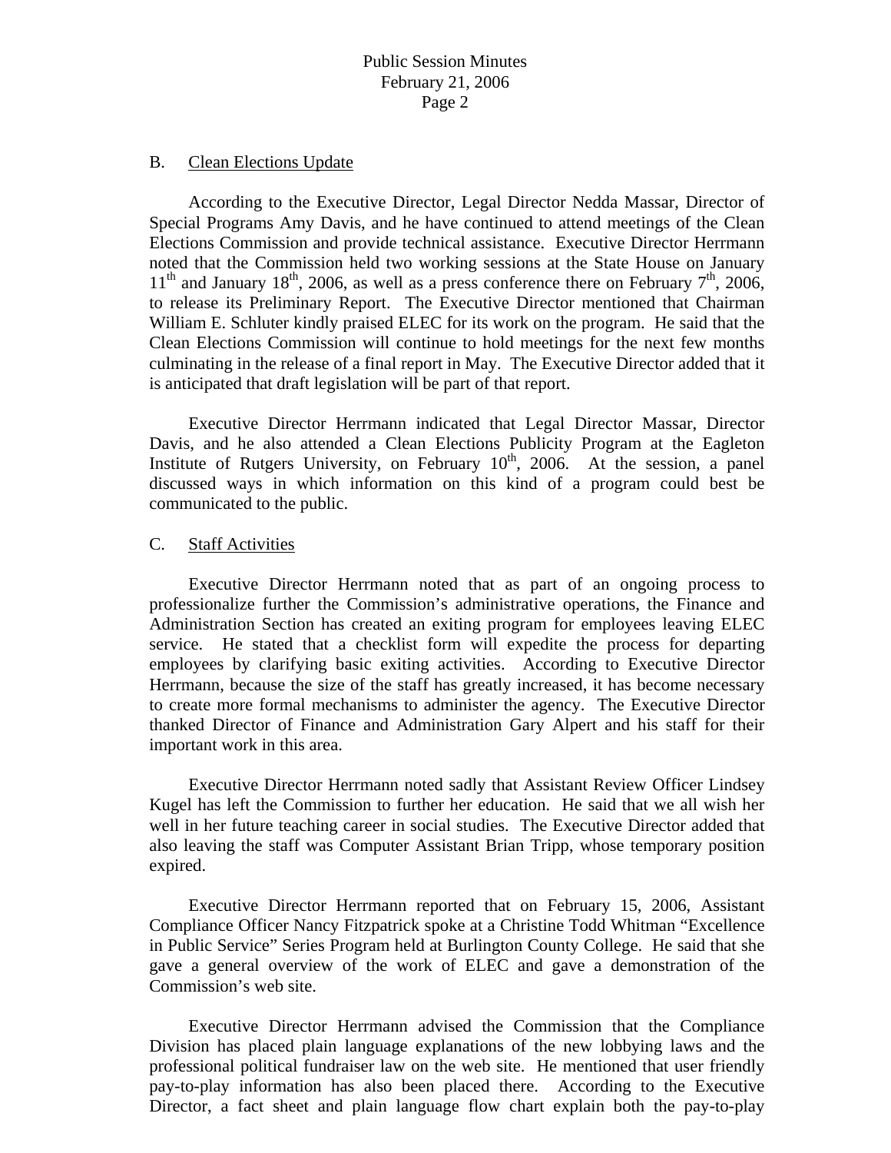#### B. Clean Elections Update

 According to the Executive Director, Legal Director Nedda Massar, Director of Special Programs Amy Davis, and he have continued to attend meetings of the Clean Elections Commission and provide technical assistance. Executive Director Herrmann noted that the Commission held two working sessions at the State House on January  $11<sup>th</sup>$  and January  $18<sup>th</sup>$ , 2006, as well as a press conference there on February  $7<sup>th</sup>$ , 2006, to release its Preliminary Report. The Executive Director mentioned that Chairman William E. Schluter kindly praised ELEC for its work on the program. He said that the Clean Elections Commission will continue to hold meetings for the next few months culminating in the release of a final report in May. The Executive Director added that it is anticipated that draft legislation will be part of that report.

 Executive Director Herrmann indicated that Legal Director Massar, Director Davis, and he also attended a Clean Elections Publicity Program at the Eagleton Institute of Rutgers University, on February  $10^{th}$ , 2006. At the session, a panel discussed ways in which information on this kind of a program could best be communicated to the public.

### C. Staff Activities

 Executive Director Herrmann noted that as part of an ongoing process to professionalize further the Commission's administrative operations, the Finance and Administration Section has created an exiting program for employees leaving ELEC service. He stated that a checklist form will expedite the process for departing employees by clarifying basic exiting activities. According to Executive Director Herrmann, because the size of the staff has greatly increased, it has become necessary to create more formal mechanisms to administer the agency. The Executive Director thanked Director of Finance and Administration Gary Alpert and his staff for their important work in this area.

 Executive Director Herrmann noted sadly that Assistant Review Officer Lindsey Kugel has left the Commission to further her education. He said that we all wish her well in her future teaching career in social studies. The Executive Director added that also leaving the staff was Computer Assistant Brian Tripp, whose temporary position expired.

 Executive Director Herrmann reported that on February 15, 2006, Assistant Compliance Officer Nancy Fitzpatrick spoke at a Christine Todd Whitman "Excellence in Public Service" Series Program held at Burlington County College. He said that she gave a general overview of the work of ELEC and gave a demonstration of the Commission's web site.

 Executive Director Herrmann advised the Commission that the Compliance Division has placed plain language explanations of the new lobbying laws and the professional political fundraiser law on the web site. He mentioned that user friendly pay-to-play information has also been placed there. According to the Executive Director, a fact sheet and plain language flow chart explain both the pay-to-play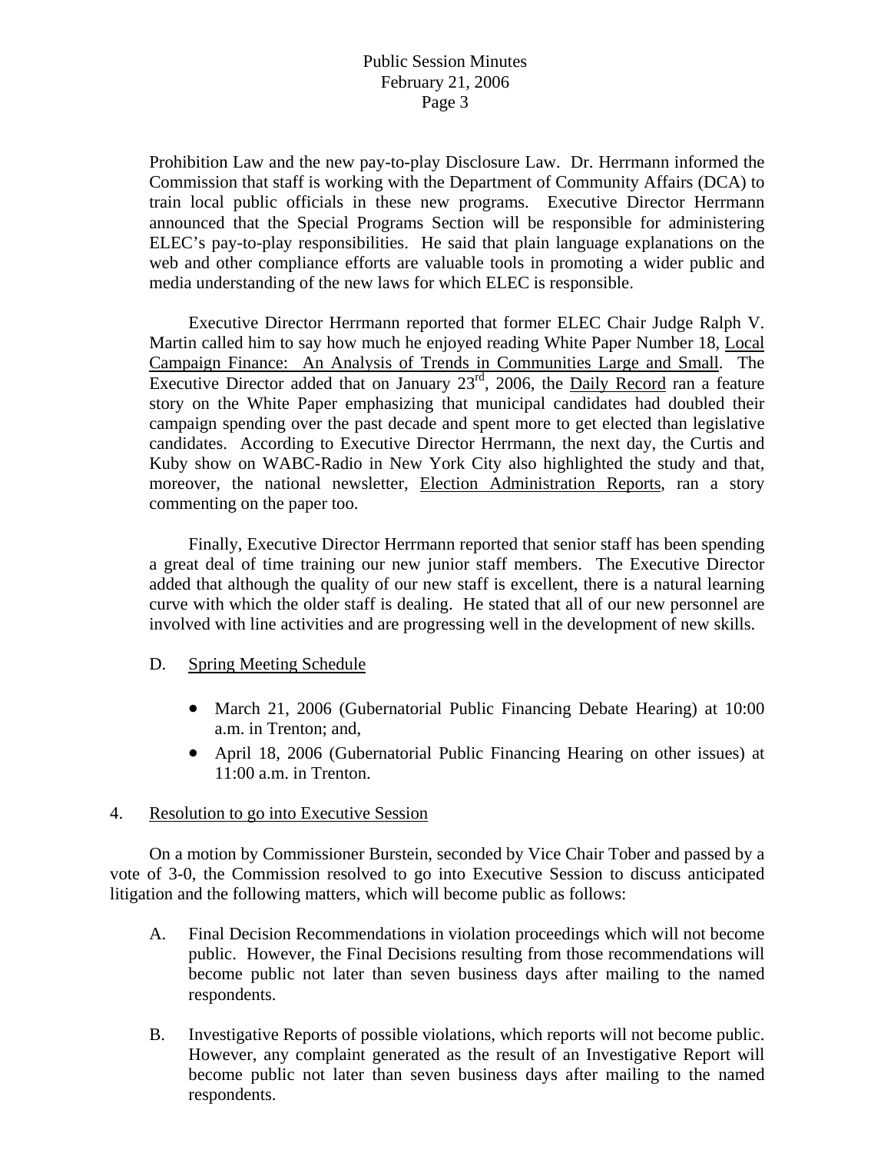# Public Session Minutes February 21, 2006 Page 3

Prohibition Law and the new pay-to-play Disclosure Law. Dr. Herrmann informed the Commission that staff is working with the Department of Community Affairs (DCA) to train local public officials in these new programs. Executive Director Herrmann announced that the Special Programs Section will be responsible for administering ELEC's pay-to-play responsibilities. He said that plain language explanations on the web and other compliance efforts are valuable tools in promoting a wider public and media understanding of the new laws for which ELEC is responsible.

 Executive Director Herrmann reported that former ELEC Chair Judge Ralph V. Martin called him to say how much he enjoyed reading White Paper Number 18, Local Campaign Finance: An Analysis of Trends in Communities Large and Small. The Executive Director added that on January  $23<sup>rd</sup>$ , 2006, the Daily Record ran a feature story on the White Paper emphasizing that municipal candidates had doubled their campaign spending over the past decade and spent more to get elected than legislative candidates. According to Executive Director Herrmann, the next day, the Curtis and Kuby show on WABC-Radio in New York City also highlighted the study and that, moreover, the national newsletter, Election Administration Reports, ran a story commenting on the paper too.

 Finally, Executive Director Herrmann reported that senior staff has been spending a great deal of time training our new junior staff members. The Executive Director added that although the quality of our new staff is excellent, there is a natural learning curve with which the older staff is dealing. He stated that all of our new personnel are involved with line activities and are progressing well in the development of new skills.

## D. Spring Meeting Schedule

- March 21, 2006 (Gubernatorial Public Financing Debate Hearing) at 10:00 a.m. in Trenton; and,
- April 18, 2006 (Gubernatorial Public Financing Hearing on other issues) at 11:00 a.m. in Trenton.

## 4. Resolution to go into Executive Session

 On a motion by Commissioner Burstein, seconded by Vice Chair Tober and passed by a vote of 3-0, the Commission resolved to go into Executive Session to discuss anticipated litigation and the following matters, which will become public as follows:

- A. Final Decision Recommendations in violation proceedings which will not become public. However, the Final Decisions resulting from those recommendations will become public not later than seven business days after mailing to the named respondents.
- B. Investigative Reports of possible violations, which reports will not become public. However, any complaint generated as the result of an Investigative Report will become public not later than seven business days after mailing to the named respondents.